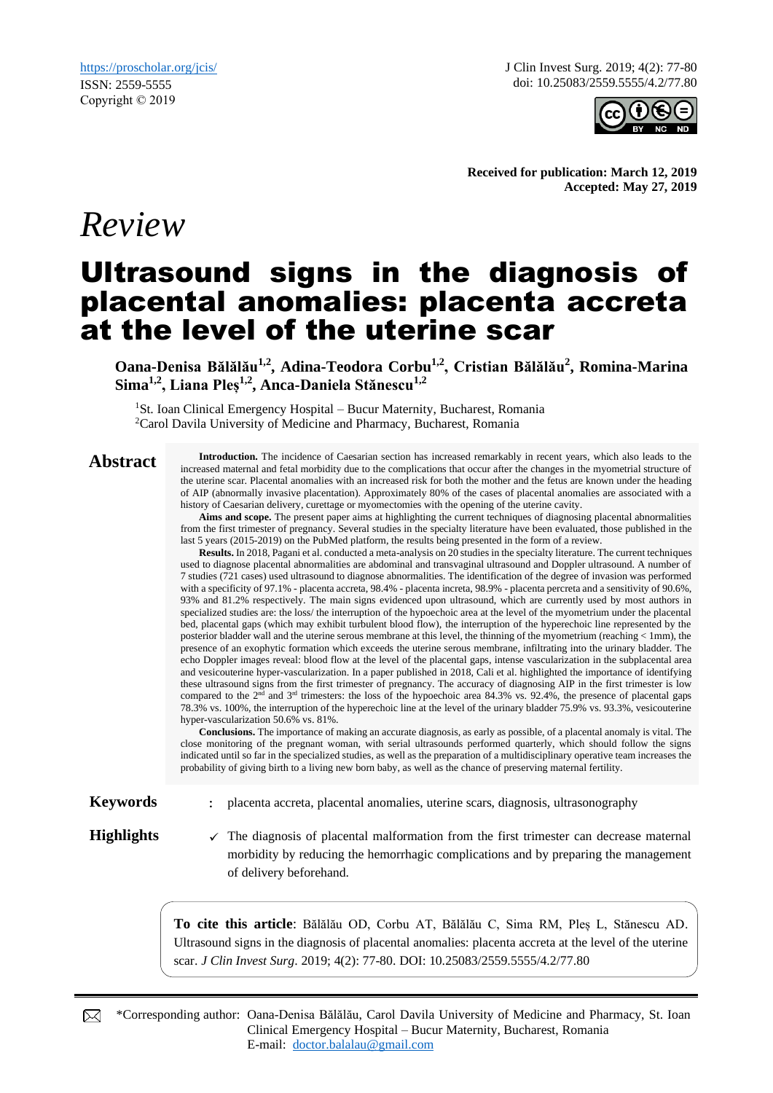*Review*

J Clin Invest Surg. 2019; 4(2): 77-80 doi: 10.25083/2559.5555/4.2/77.80



**Received for publication: March 12, 2019 Accepted: May 27, 2019**

# Ultrasound signs in the diagnosis of placental anomalies: placenta accreta at the level of the uterine scar

**Oana-Denisa Bălălău1,2, Adina-Teodora Corbu1,2, Cristian Bălălău<sup>2</sup> , Romina-Marina Sima1,2, Liana Pleș1,2, Anca-Daniela Stănescu1,2**

<sup>1</sup>St. Ioan Clinical Emergency Hospital – Bucur Maternity, Bucharest, Romania <sup>2</sup>Carol Davila University of Medicine and Pharmacy, Bucharest, Romania

**Abstract Introduction.** The incidence of Caesarian section has increased remarkably in recent years, which also leads to the increased recent years, which also leads to the increased maternal and fetal morbidity due to the complications that occur after the changes in the myometrial structure of the uterine scar. Placental anomalies with an increased risk for both the mother and the fetus are known under the heading of AIP (abnormally invasive placentation). Approximately 80% of the cases of placental anomalies are associated with a history of Caesarian delivery, curettage or myomectomies with the opening of the uterine cavity.

**Aims and scope.** The present paper aims at highlighting the current techniques of diagnosing placental abnormalities from the first trimester of pregnancy. Several studies in the specialty literature have been evaluated, those published in the last 5 years (2015-2019) on the PubMed platform, the results being presented in the form of a review.

**Results.** In 2018, Pagani et al. conducted a meta-analysis on 20 studies in the specialty literature. The current techniques used to diagnose placental abnormalities are abdominal and transvaginal ultrasound and Doppler ultrasound. A number of 7 studies (721 cases) used ultrasound to diagnose abnormalities. The identification of the degree of invasion was performed with a specificity of 97.1% - placenta accreta, 98.4% - placenta increta, 98.9% - placenta percreta and a sensitivity of 90.6%, 93% and 81.2% respectively. The main signs evidenced upon ultrasound, which are currently used by most authors in specialized studies are: the loss/ the interruption of the hypoechoic area at the level of the myometrium under the placental bed, placental gaps (which may exhibit turbulent blood flow), the interruption of the hyperechoic line represented by the posterior bladder wall and the uterine serous membrane at this level, the thinning of the myometrium (reaching < 1mm), the presence of an exophytic formation which exceeds the uterine serous membrane, infiltrating into the urinary bladder. The echo Doppler images reveal: blood flow at the level of the placental gaps, intense vascularization in the subplacental area and vesicouterine hyper-vascularization. In a paper published in 2018, Cali et al. highlighted the importance of identifying these ultrasound signs from the first trimester of pregnancy. The accuracy of diagnosing AIP in the first trimester is low compared to the  $2<sup>nd</sup>$  and  $3<sup>rd</sup>$  trimesters: the loss of the hypoechoic area 84.3% vs. 92.4%, the presence of placental gaps 78.3% vs. 100%, the interruption of the hyperechoic line at the level of the urinary bladder 75.9% vs. 93.3%, vesicouterine hyper-vascularization 50.6% vs. 81%.

**Conclusions.** The importance of making an accurate diagnosis, as early as possible, of a placental anomaly is vital. The close monitoring of the pregnant woman, with serial ultrasounds performed quarterly, which should follow the signs indicated until so far in the specialized studies, as well as the preparation of a multidisciplinary operative team increases the probability of giving birth to a living new born baby, as well as the chance of preserving maternal fertility.

**Keywords** : placenta accreta, placental anomalies, uterine scars, diagnosis, ultrasonography

Highlights **v** The diagnosis of placental malformation from the first trimester can decrease maternal morbidity by reducing the hemorrhagic complications and by preparing the management of delivery beforehand.

> **To cite this article**: Bălălău OD, Corbu AT, Bălălău C, Sima RM, Pleș L, Stănescu AD. Ultrasound signs in the diagnosis of placental anomalies: placenta accreta at the level of the uterine scar. *J Clin Invest Surg*. 2019; 4(2): 77-80. DOI: 10.25083/2559.5555/4.2/77.80

\*Corresponding author: Oana-Denisa Bălălău, Carol Davila University of Medicine and Pharmacy, St. Ioan Clinical Emergency Hospital – Bucur Maternity, Bucharest, Romania E-mail: [doctor.balalau@gmail.com](mailto:doctor.balalau@gmail.com)

⊠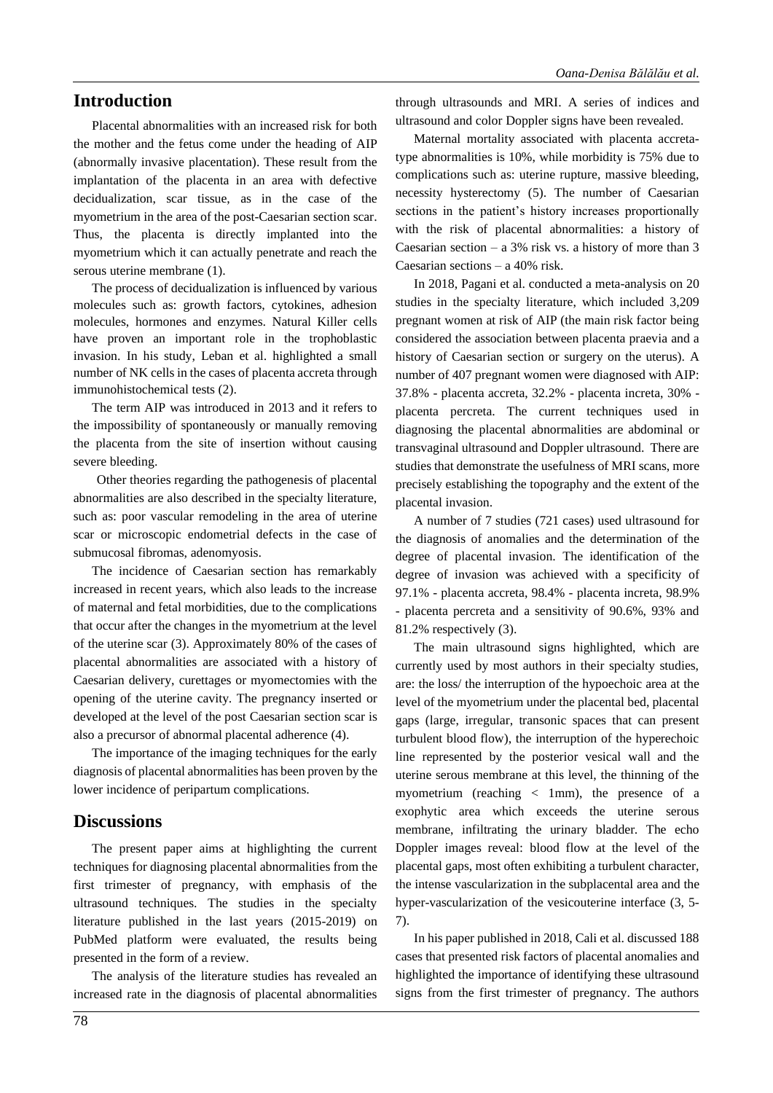### **Introduction**

Placental abnormalities with an increased risk for both the mother and the fetus come under the heading of AIP (abnormally invasive placentation). These result from the implantation of the placenta in an area with defective decidualization, scar tissue, as in the case of the myometrium in the area of the post-Caesarian section scar. Thus, the placenta is directly implanted into the myometrium which it can actually penetrate and reach the serous uterine membrane (1).

The process of decidualization is influenced by various molecules such as: growth factors, cytokines, adhesion molecules, hormones and enzymes. Natural Killer cells have proven an important role in the trophoblastic invasion. In his study, Leban et al. highlighted a small number of NK cells in the cases of placenta accreta through immunohistochemical tests (2).

The term AIP was introduced in 2013 and it refers to the impossibility of spontaneously or manually removing the placenta from the site of insertion without causing severe bleeding.

Other theories regarding the pathogenesis of placental abnormalities are also described in the specialty literature, such as: poor vascular remodeling in the area of uterine scar or microscopic endometrial defects in the case of submucosal fibromas, adenomyosis.

The incidence of Caesarian section has remarkably increased in recent years, which also leads to the increase of maternal and fetal morbidities, due to the complications that occur after the changes in the myometrium at the level of the uterine scar (3). Approximately 80% of the cases of placental abnormalities are associated with a history of Caesarian delivery, curettages or myomectomies with the opening of the uterine cavity. The pregnancy inserted or developed at the level of the post Caesarian section scar is also a precursor of abnormal placental adherence (4).

The importance of the imaging techniques for the early diagnosis of placental abnormalities has been proven by the lower incidence of peripartum complications.

#### **Discussions**

The present paper aims at highlighting the current techniques for diagnosing placental abnormalities from the first trimester of pregnancy, with emphasis of the ultrasound techniques. The studies in the specialty literature published in the last years (2015-2019) on PubMed platform were evaluated, the results being presented in the form of a review.

The analysis of the literature studies has revealed an increased rate in the diagnosis of placental abnormalities

through ultrasounds and MRI. A series of indices and ultrasound and color Doppler signs have been revealed.

Maternal mortality associated with placenta accretatype abnormalities is 10%, while morbidity is 75% due to complications such as: uterine rupture, massive bleeding, necessity hysterectomy (5). The number of Caesarian sections in the patient's history increases proportionally with the risk of placental abnormalities: a history of Caesarian section – a  $3\%$  risk vs. a history of more than 3 Caesarian sections – a 40% risk.

In 2018, Pagani et al. conducted a meta-analysis on 20 studies in the specialty literature, which included 3,209 pregnant women at risk of AIP (the main risk factor being considered the association between placenta praevia and a history of Caesarian section or surgery on the uterus). A number of 407 pregnant women were diagnosed with AIP: 37.8% - placenta accreta, 32.2% - placenta increta, 30% placenta percreta. The current techniques used in diagnosing the placental abnormalities are abdominal or transvaginal ultrasound and Doppler ultrasound. There are studies that demonstrate the usefulness of MRI scans, more precisely establishing the topography and the extent of the placental invasion.

A number of 7 studies (721 cases) used ultrasound for the diagnosis of anomalies and the determination of the degree of placental invasion. The identification of the degree of invasion was achieved with a specificity of 97.1% - placenta accreta, 98.4% - placenta increta, 98.9% - placenta percreta and a sensitivity of 90.6%, 93% and 81.2% respectively (3).

The main ultrasound signs highlighted, which are currently used by most authors in their specialty studies, are: the loss/ the interruption of the hypoechoic area at the level of the myometrium under the placental bed, placental gaps (large, irregular, transonic spaces that can present turbulent blood flow), the interruption of the hyperechoic line represented by the posterior vesical wall and the uterine serous membrane at this level, the thinning of the myometrium (reaching  $\langle$  1mm), the presence of a exophytic area which exceeds the uterine serous membrane, infiltrating the urinary bladder. The echo Doppler images reveal: blood flow at the level of the placental gaps, most often exhibiting a turbulent character, the intense vascularization in the subplacental area and the hyper-vascularization of the vesicouterine interface (3, 5- 7).

In his paper published in 2018, Cali et al. discussed 188 cases that presented risk factors of placental anomalies and highlighted the importance of identifying these ultrasound signs from the first trimester of pregnancy. The authors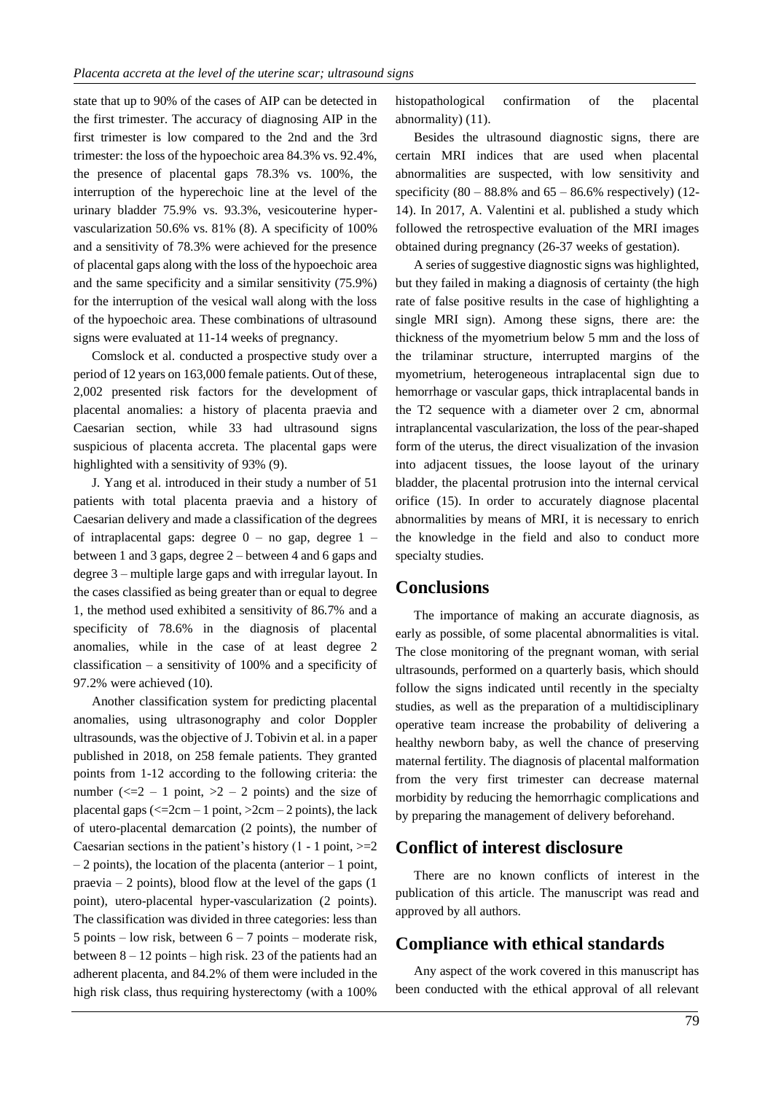state that up to 90% of the cases of AIP can be detected in the first trimester. The accuracy of diagnosing AIP in the first trimester is low compared to the 2nd and the 3rd trimester: the loss of the hypoechoic area 84.3% vs. 92.4%, the presence of placental gaps 78.3% vs. 100%, the interruption of the hyperechoic line at the level of the urinary bladder 75.9% vs. 93.3%, vesicouterine hypervascularization 50.6% vs. 81% (8). A specificity of 100% and a sensitivity of 78.3% were achieved for the presence of placental gaps along with the loss of the hypoechoic area and the same specificity and a similar sensitivity (75.9%) for the interruption of the vesical wall along with the loss of the hypoechoic area. These combinations of ultrasound signs were evaluated at 11-14 weeks of pregnancy.

Comslock et al. conducted a prospective study over a period of 12 years on 163,000 female patients. Out of these, 2,002 presented risk factors for the development of placental anomalies: a history of placenta praevia and Caesarian section, while 33 had ultrasound signs suspicious of placenta accreta. The placental gaps were highlighted with a sensitivity of 93% (9).

J. Yang et al. introduced in their study a number of 51 patients with total placenta praevia and a history of Caesarian delivery and made a classification of the degrees of intraplacental gaps: degree  $0 -$  no gap, degree  $1$ between 1 and 3 gaps, degree 2 – between 4 and 6 gaps and degree 3 – multiple large gaps and with irregular layout. In the cases classified as being greater than or equal to degree 1, the method used exhibited a sensitivity of 86.7% and a specificity of 78.6% in the diagnosis of placental anomalies, while in the case of at least degree 2 classification – a sensitivity of 100% and a specificity of 97.2% were achieved (10).

Another classification system for predicting placental anomalies, using ultrasonography and color Doppler ultrasounds, was the objective of J. Tobivin et al. in a paper published in 2018, on 258 female patients. They granted points from 1-12 according to the following criteria: the number ( $\leq 2 - 1$  point,  $>2 - 2$  points) and the size of placental gaps ( $\leq$  2cm – 1 point,  $>$  2cm – 2 points), the lack of utero-placental demarcation (2 points), the number of Caesarian sections in the patient's history  $(1 - 1 \text{ point}, \geq 2)$  $-2$  points), the location of the placenta (anterior  $-1$  point, praevia  $-2$  points), blood flow at the level of the gaps  $(1)$ point), utero-placental hyper-vascularization (2 points). The classification was divided in three categories: less than 5 points – low risk, between  $6 - 7$  points – moderate risk, between 8 – 12 points – high risk. 23 of the patients had an adherent placenta, and 84.2% of them were included in the high risk class, thus requiring hysterectomy (with a 100%

histopathological confirmation of the placental abnormality) (11).

Besides the ultrasound diagnostic signs, there are certain MRI indices that are used when placental abnormalities are suspected, with low sensitivity and specificity  $(80 - 88.8\%$  and  $65 - 86.6\%$  respectively)  $(12$ -14). In 2017, A. Valentini et al. published a study which followed the retrospective evaluation of the MRI images obtained during pregnancy (26-37 weeks of gestation).

A series of suggestive diagnostic signs was highlighted, but they failed in making a diagnosis of certainty (the high rate of false positive results in the case of highlighting a single MRI sign). Among these signs, there are: the thickness of the myometrium below 5 mm and the loss of the trilaminar structure, interrupted margins of the myometrium, heterogeneous intraplacental sign due to hemorrhage or vascular gaps, thick intraplacental bands in the T2 sequence with a diameter over 2 cm, abnormal intraplancental vascularization, the loss of the pear-shaped form of the uterus, the direct visualization of the invasion into adjacent tissues, the loose layout of the urinary bladder, the placental protrusion into the internal cervical orifice (15). In order to accurately diagnose placental abnormalities by means of MRI, it is necessary to enrich the knowledge in the field and also to conduct more specialty studies.

#### **Conclusions**

The importance of making an accurate diagnosis, as early as possible, of some placental abnormalities is vital. The close monitoring of the pregnant woman, with serial ultrasounds, performed on a quarterly basis, which should follow the signs indicated until recently in the specialty studies, as well as the preparation of a multidisciplinary operative team increase the probability of delivering a healthy newborn baby, as well the chance of preserving maternal fertility. The diagnosis of placental malformation from the very first trimester can decrease maternal morbidity by reducing the hemorrhagic complications and by preparing the management of delivery beforehand.

#### **Conflict of interest disclosure**

There are no known conflicts of interest in the publication of this article. The manuscript was read and approved by all authors.

### **Compliance with ethical standards**

Any aspect of the work covered in this manuscript has been conducted with the ethical approval of all relevant